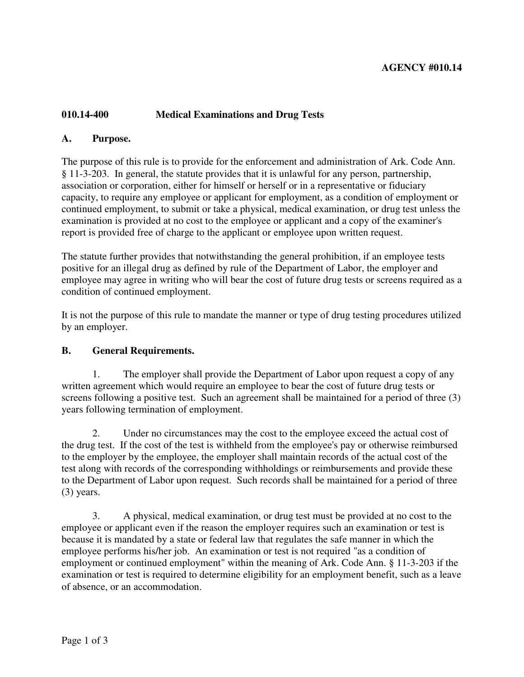## **AGENCY #010.14**

## **010.14-400 Medical Examinations and Drug Tests**

#### **A. Purpose.**

The purpose of this rule is to provide for the enforcement and administration of Ark. Code Ann. § 11-3-203. In general, the statute provides that it is unlawful for any person, partnership, association or corporation, either for himself or herself or in a representative or fiduciary capacity, to require any employee or applicant for employment, as a condition of employment or continued employment, to submit or take a physical, medical examination, or drug test unless the examination is provided at no cost to the employee or applicant and a copy of the examiner's report is provided free of charge to the applicant or employee upon written request.

The statute further provides that notwithstanding the general prohibition, if an employee tests positive for an illegal drug as defined by rule of the Department of Labor, the employer and employee may agree in writing who will bear the cost of future drug tests or screens required as a condition of continued employment.

It is not the purpose of this rule to mandate the manner or type of drug testing procedures utilized by an employer.

#### **B. General Requirements.**

 1. The employer shall provide the Department of Labor upon request a copy of any written agreement which would require an employee to bear the cost of future drug tests or screens following a positive test. Such an agreement shall be maintained for a period of three (3) years following termination of employment.

 2. Under no circumstances may the cost to the employee exceed the actual cost of the drug test. If the cost of the test is withheld from the employee's pay or otherwise reimbursed to the employer by the employee, the employer shall maintain records of the actual cost of the test along with records of the corresponding withholdings or reimbursements and provide these to the Department of Labor upon request. Such records shall be maintained for a period of three (3) years.

 3. A physical, medical examination, or drug test must be provided at no cost to the employee or applicant even if the reason the employer requires such an examination or test is because it is mandated by a state or federal law that regulates the safe manner in which the employee performs his/her job. An examination or test is not required "as a condition of employment or continued employment" within the meaning of Ark. Code Ann. § 11-3-203 if the examination or test is required to determine eligibility for an employment benefit, such as a leave of absence, or an accommodation.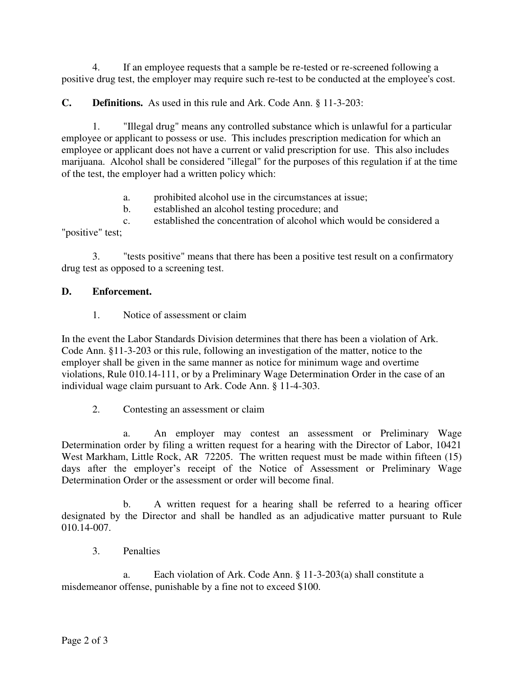4. If an employee requests that a sample be re-tested or re-screened following a positive drug test, the employer may require such re-test to be conducted at the employee's cost.

**C. Definitions.** As used in this rule and Ark. Code Ann. § 11-3-203:

 1. "Illegal drug" means any controlled substance which is unlawful for a particular employee or applicant to possess or use. This includes prescription medication for which an employee or applicant does not have a current or valid prescription for use. This also includes marijuana. Alcohol shall be considered "illegal" for the purposes of this regulation if at the time of the test, the employer had a written policy which:

- a. prohibited alcohol use in the circumstances at issue;
- b. established an alcohol testing procedure; and

 c. established the concentration of alcohol which would be considered a "positive" test;

 3. "tests positive" means that there has been a positive test result on a confirmatory drug test as opposed to a screening test.

## **D. Enforcement.**

1. Notice of assessment or claim

In the event the Labor Standards Division determines that there has been a violation of Ark. Code Ann. §11-3-203 or this rule, following an investigation of the matter, notice to the employer shall be given in the same manner as notice for minimum wage and overtime violations, Rule 010.14-111, or by a Preliminary Wage Determination Order in the case of an individual wage claim pursuant to Ark. Code Ann. § 11-4-303.

2. Contesting an assessment or claim

 a. An employer may contest an assessment or Preliminary Wage Determination order by filing a written request for a hearing with the Director of Labor, 10421 West Markham, Little Rock, AR 72205. The written request must be made within fifteen (15) days after the employer's receipt of the Notice of Assessment or Preliminary Wage Determination Order or the assessment or order will become final.

 b. A written request for a hearing shall be referred to a hearing officer designated by the Director and shall be handled as an adjudicative matter pursuant to Rule 010.14-007.

3. Penalties

 a. Each violation of Ark. Code Ann. § 11-3-203(a) shall constitute a misdemeanor offense, punishable by a fine not to exceed \$100.